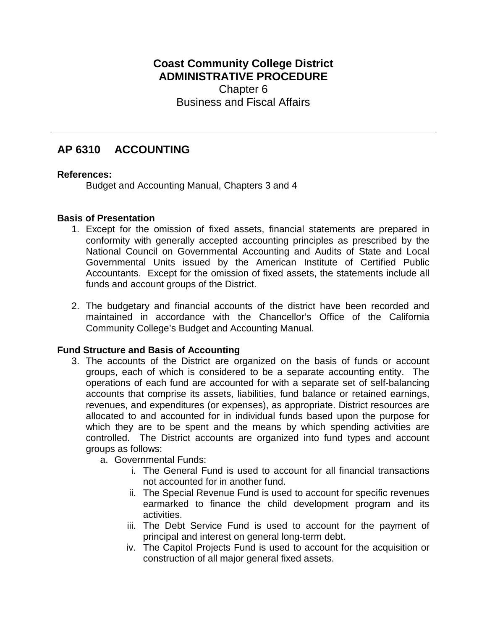## **Coast Community College District ADMINISTRATIVE PROCEDURE** Chapter 6 Business and Fiscal Affairs

# **AP 6310 ACCOUNTING**

### **References:**

Budget and Accounting Manual, Chapters 3 and 4

### **Basis of Presentation**

- 1. Except for the omission of fixed assets, financial statements are prepared in conformity with generally accepted accounting principles as prescribed by the National Council on Governmental Accounting and Audits of State and Local Governmental Units issued by the American Institute of Certified Public Accountants. Except for the omission of fixed assets, the statements include all funds and account groups of the District.
- 2. The budgetary and financial accounts of the district have been recorded and maintained in accordance with the Chancellor's Office of the California Community College's Budget and Accounting Manual.

### **Fund Structure and Basis of Accounting**

- 3. The accounts of the District are organized on the basis of funds or account groups, each of which is considered to be a separate accounting entity. The operations of each fund are accounted for with a separate set of self-balancing accounts that comprise its assets, liabilities, fund balance or retained earnings, revenues, and expenditures (or expenses), as appropriate. District resources are allocated to and accounted for in individual funds based upon the purpose for which they are to be spent and the means by which spending activities are controlled. The District accounts are organized into fund types and account groups as follows:
	- a. Governmental Funds:
		- i. The General Fund is used to account for all financial transactions not accounted for in another fund.
		- ii. The Special Revenue Fund is used to account for specific revenues earmarked to finance the child development program and its activities.
		- iii. The Debt Service Fund is used to account for the payment of principal and interest on general long-term debt.
		- iv. The Capitol Projects Fund is used to account for the acquisition or construction of all major general fixed assets.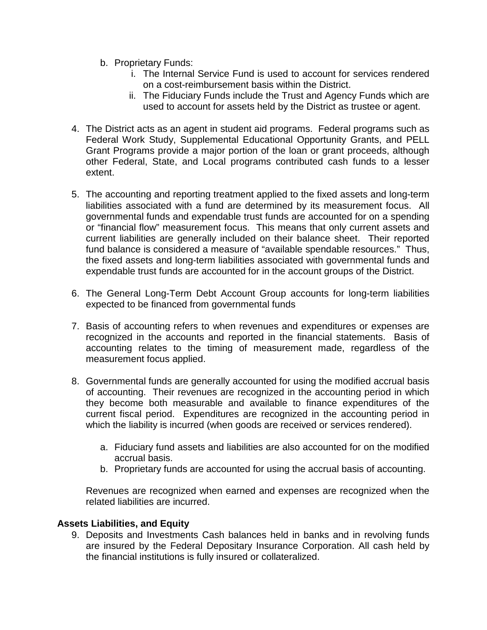- b. Proprietary Funds:
	- i. The Internal Service Fund is used to account for services rendered on a cost-reimbursement basis within the District.
	- ii. The Fiduciary Funds include the Trust and Agency Funds which are used to account for assets held by the District as trustee or agent.
- 4. The District acts as an agent in student aid programs. Federal programs such as Federal Work Study, Supplemental Educational Opportunity Grants, and PELL Grant Programs provide a major portion of the loan or grant proceeds, although other Federal, State, and Local programs contributed cash funds to a lesser extent.
- 5. The accounting and reporting treatment applied to the fixed assets and long-term liabilities associated with a fund are determined by its measurement focus. All governmental funds and expendable trust funds are accounted for on a spending or "financial flow" measurement focus. This means that only current assets and current liabilities are generally included on their balance sheet. Their reported fund balance is considered a measure of "available spendable resources." Thus, the fixed assets and long-term liabilities associated with governmental funds and expendable trust funds are accounted for in the account groups of the District.
- 6. The General Long-Term Debt Account Group accounts for long-term liabilities expected to be financed from governmental funds
- 7. Basis of accounting refers to when revenues and expenditures or expenses are recognized in the accounts and reported in the financial statements. Basis of accounting relates to the timing of measurement made, regardless of the measurement focus applied.
- 8. Governmental funds are generally accounted for using the modified accrual basis of accounting. Their revenues are recognized in the accounting period in which they become both measurable and available to finance expenditures of the current fiscal period. Expenditures are recognized in the accounting period in which the liability is incurred (when goods are received or services rendered).
	- a. Fiduciary fund assets and liabilities are also accounted for on the modified accrual basis.
	- b. Proprietary funds are accounted for using the accrual basis of accounting.

Revenues are recognized when earned and expenses are recognized when the related liabilities are incurred.

### **Assets Liabilities, and Equity**

9. Deposits and Investments Cash balances held in banks and in revolving funds are insured by the Federal Depositary Insurance Corporation. All cash held by the financial institutions is fully insured or collateralized.